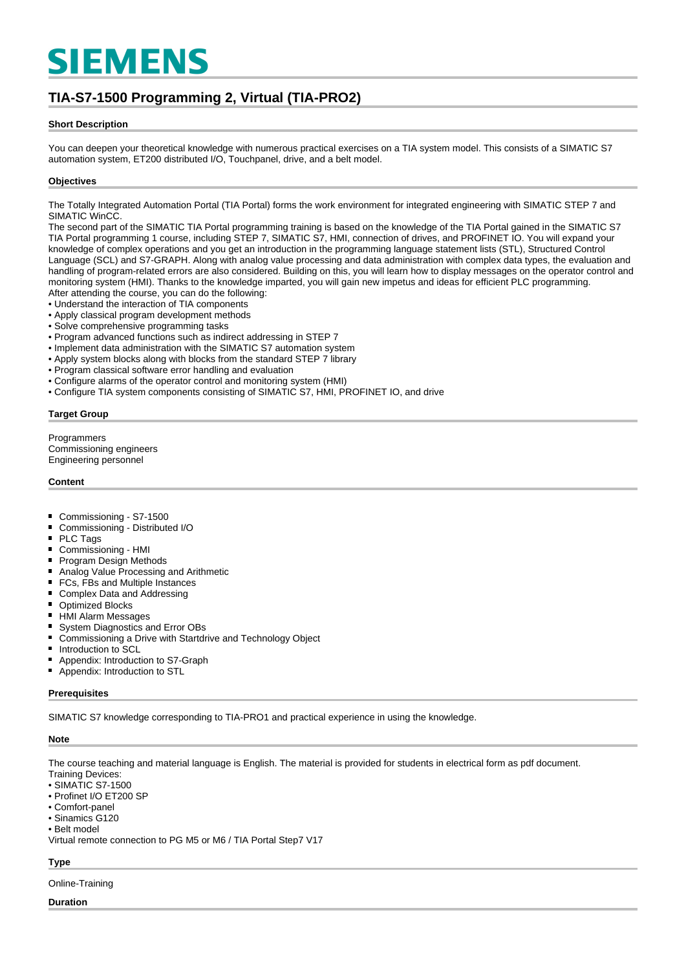# **SIEMENS**

## **TIA-S7-1500 Programming 2, Virtual (TIA-PRO2)**

#### **Short Description**

You can deepen your theoretical knowledge with numerous practical exercises on a TIA system model. This consists of a SIMATIC S7 automation system, ET200 distributed I/O, Touchpanel, drive, and a belt model.

#### **Objectives**

The Totally Integrated Automation Portal (TIA Portal) forms the work environment for integrated engineering with SIMATIC STEP 7 and SIMATIC WinCC.

The second part of the SIMATIC TIA Portal programming training is based on the knowledge of the TIA Portal gained in the SIMATIC S7 TIA Portal programming 1 course, including STEP 7, SIMATIC S7, HMI, connection of drives, and PROFINET IO. You will expand your knowledge of complex operations and you get an introduction in the programming language statement lists (STL), Structured Control Language (SCL) and S7-GRAPH. Along with analog value processing and data administration with complex data types, the evaluation and handling of program-related errors are also considered. Building on this, you will learn how to display messages on the operator control and monitoring system (HMI). Thanks to the knowledge imparted, you will gain new impetus and ideas for efficient PLC programming. After attending the course, you can do the following:

- Understand the interaction of TIA components
- Apply classical program development methods
- Solve comprehensive programming tasks
- Program advanced functions such as indirect addressing in STEP 7
- Implement data administration with the SIMATIC S7 automation system
- Apply system blocks along with blocks from the standard STEP 7 library
- Program classical software error handling and evaluation
- Configure alarms of the operator control and monitoring system (HMI)
- Configure TIA system components consisting of SIMATIC S7, HMI, PROFINET IO, and drive

#### **Target Group**

Programmers Commissioning engineers Engineering personnel

#### **Content**

- Commissioning S7-1500
- Commissioning Distributed I/O
- $\blacksquare$ PLC Tags
- $\blacksquare$ Commissioning - HMI
- $\blacksquare$ Program Design Methods
- Analog Value Processing and Arithmetic
- FCs, FBs and Multiple Instances
- Complex Data and Addressing
- Optimized Blocks
- $\blacksquare$ HMI Alarm Messages
- System Diagnostics and Error OBs
- Commissioning a Drive with Startdrive and Technology Object
- Introduction to SCL
- Appendix: Introduction to S7-Graph
- Appendix: Introduction to STL

#### **Prerequisites**

SIMATIC S7 knowledge corresponding to TIA-PRO1 and practical experience in using the knowledge.

#### **Note**

The course teaching and material language is English. The material is provided for students in electrical form as pdf document.

- Training Devices:
- SIMATIC S7-1500
- Profinet I/O ET200 SP
- Comfort-panel
- Sinamics G120

• Belt model

Virtual remote connection to PG M5 or M6 / TIA Portal Step7 V17

#### **Type**

Online-Training

#### **Duration**